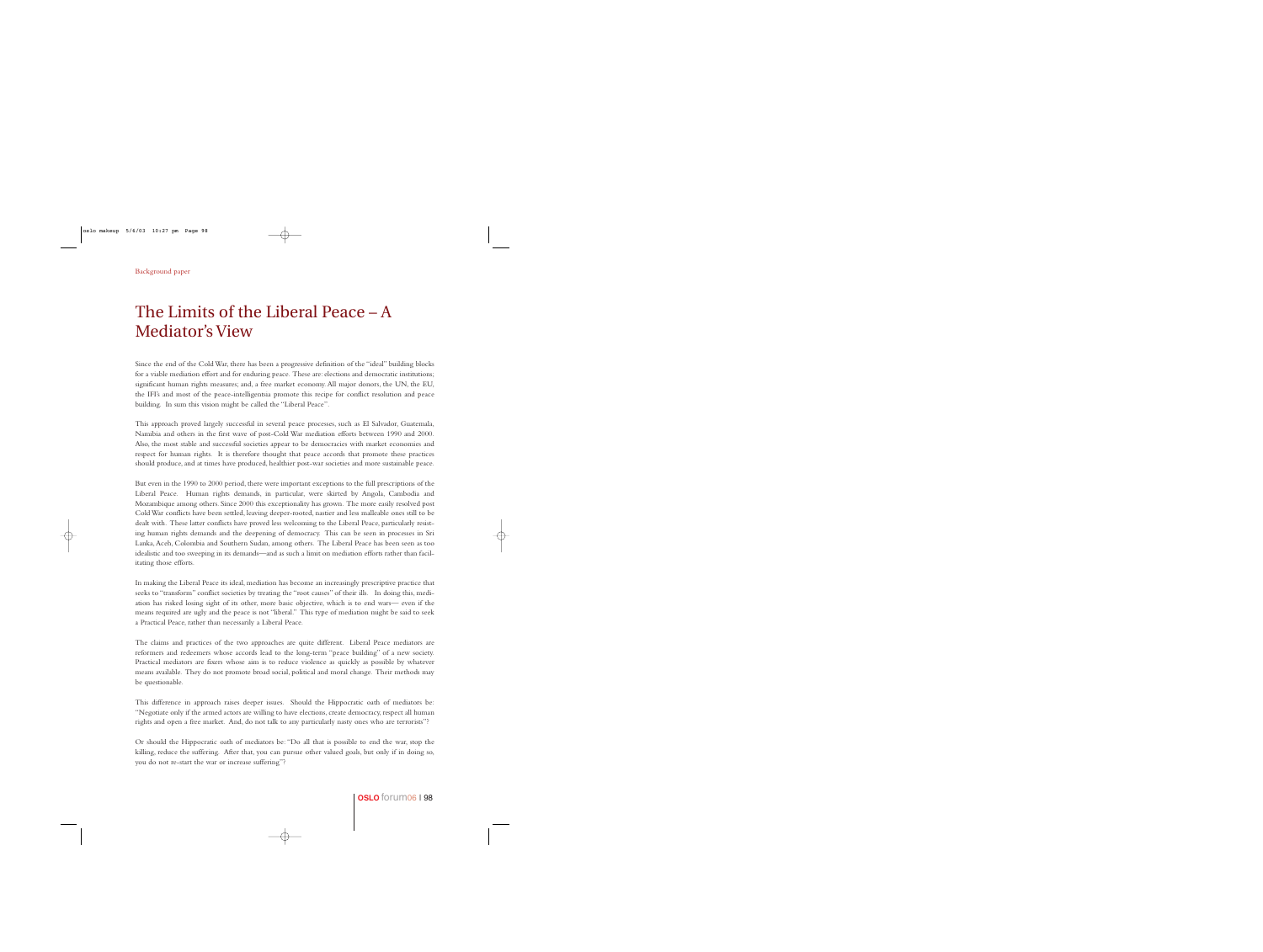## The Limits of the Liberal Peace – A Mediator's View

Since the end of the Cold War, there has been a progressive definition of the "ideal" building blocks for a viable mediation effort and for enduring peace. These are: elections and democratic institutions; significant human rights measures; and, a free market economy. All major donors, the UN, the EU, the IFI's and most of the peace-intelligentsia promote this recipe for conflict resolution and peace building. In sum this vision might be called the "Liberal Peace".

This approach proved largely successful in several peace processes, such as El Salvador, Guatemala, Namibia and others in the first wave of post-Cold War mediation efforts between 1990 and 2000. Also, the most stable and successful societies appear to be democracies with market economies and respect for human rights. It is therefore thought that peace accords that promote these practices should produce, and at times have produced, healthier post-war societies and more sustainable peace.

But even in the 1990 to 2000 period, there were important exceptions to the full prescriptions of the Liberal Peace. Human rights demands, in particular, were skirted by Angola, Cambodia and Mozambique among others. Since 2000 this exceptionality has grown. The more easily resolved post Cold War conflicts have been settled, leaving deeper-rooted, nastier and less malleable ones still to be dealt with. These latter conflicts have proved less welcoming to the Liberal Peace, particularly resisting human rights demands and the deepening of democracy. This can be seen in processes in Sri Lanka,Aceh, Colombia and Southern Sudan, among others. The Liberal Peace has been seen as too idealistic and too sweeping in its demands—and as such a limit on mediation efforts rather than facilitating those efforts.

In making the Liberal Peace its ideal, mediation has become an increasingly prescriptive practice that seeks to "transform" conflict societies by treating the "root causes" of their ills. In doing this, mediation has risked losing sight of its other, more basic objective, which is to end wars— even if the means required are ugly and the peace is not "liberal." This type of mediation might be said to seek a Practical Peace, rather than necessarily a Liberal Peace.

The claims and practices of the two approaches are quite different. Liberal Peace mediators are reformers and redeemers whose accords lead to the long-term "peace building" of a new society. Practical mediators are fixers whose aim is to reduce violence as quickly as possible by whatever means available. They do not promote broad social, political and moral change. Their methods may be questionable.

This difference in approach raises deeper issues. Should the Hippocratic oath of mediators be: "Negotiate only if the armed actors are willing to have elections, create democracy, respect all human rights and open a free market. And, do not talk to any particularly nasty ones who are terrorists"?

Or should the Hippocratic oath of mediators be: "Do all that is possible to end the war, stop the killing, reduce the suffering. After that, you can pursue other valued goals, but only if in doing so, you do not re-start the war or increase suffering"?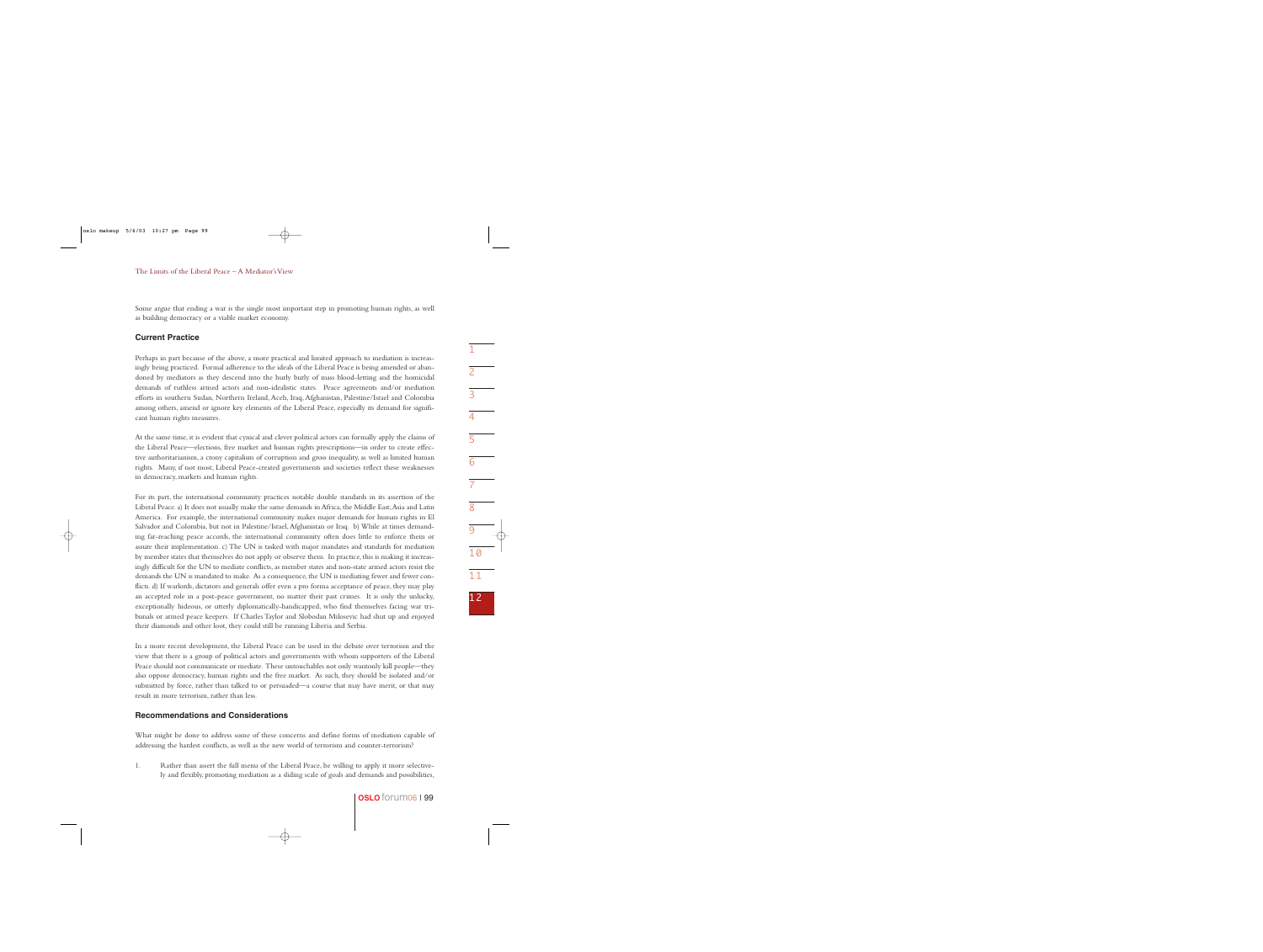Some argue that ending a war is the single most important step in promoting human rights, as well as building democracy or a viable market economy.

## **Current Practice**

Perhaps in part because of the above, a more practical and limited approach to mediation is increasingly being practiced. Formal adherence to the ideals of the Liberal Peace is being amended or abandoned by mediators as they descend into the hurly burly of mass blood-letting and the homicidal demands of ruthless armed actors and non-idealistic states. Peace agreements and/or mediation efforts in southern Sudan, Northern Ireland, Aceh, Iraq, Afghanistan, Palestine/Israel and Colombia among others, amend or ignore key elements of the Liberal Peace, especially its demand for significant human rights measures.

At the same time, it is evident that cynical and clever political actors can formally apply the claims of the Liberal Peace—elections, free market and human rights prescriptions—in order to create effective authoritarianism, a crony capitalism of corruption and gross inequality, as well as limited human rights. Many, if not most, Liberal Peace-created governments and societies reflect these weaknesses in democracy, markets and human rights.

For its part, the international community practices notable double standards in its assertion of the Liberal Peace. a) It does not usually make the same demands in Africa, the Middle East,Asia and Latin America. For example, the international community makes major demands for human rights in El Salvador and Colombia, but not in Palestine/Israel,Afghanistan or Iraq. b) While at times demanding far-reaching peace accords, the international community often does little to enforce them or assure their implementation. c) The UN is tasked with major mandates and standards for mediation by member states that themselves do not apply or observe them. In practice, this is making it increasingly difficult for the UN to mediate conflicts, as member states and non-state armed actors resist the demands the UN is mandated to make. As a consequence, the UN is mediating fewer and fewer conflicts. d) If warlords, dictators and generals offer even a pro forma acceptance of peace, they may play an accepted role in a post-peace government, no matter their past crimes. It is only the unlucky, exceptionally hideous, or utterly diplomatically-handicapped, who find themselves facing war tribunals or armed peace keepers. If Charles Taylor and Slobodan Milosevic had shut up and enjoyed their diamonds and other loot, they could still be running Liberia and Serbia.

In a more recent development, the Liberal Peace can be used in the debate over terrorism and the view that there is a group of political actors and governments with whom supporters of the Liberal Peace should not communicate or mediate. These untouchables not only wantonly kill people—they also oppose democracy, human rights and the free market. As such, they should be isolated and/or submitted by force, rather than talked to or persuaded—a course that may have merit, or that may result in more terrorism, rather than less.

## **Recommendations and Considerations**

What might be done to address some of these concerns and define forms of mediation capable of addressing the hardest conflicts, as well as the new world of terrorism and counter-terrorism?

1. Rather than assert the full menu of the Liberal Peace, be willing to apply it more selectively and flexibly, promoting mediation as a sliding scale of goals and demands and possibilities,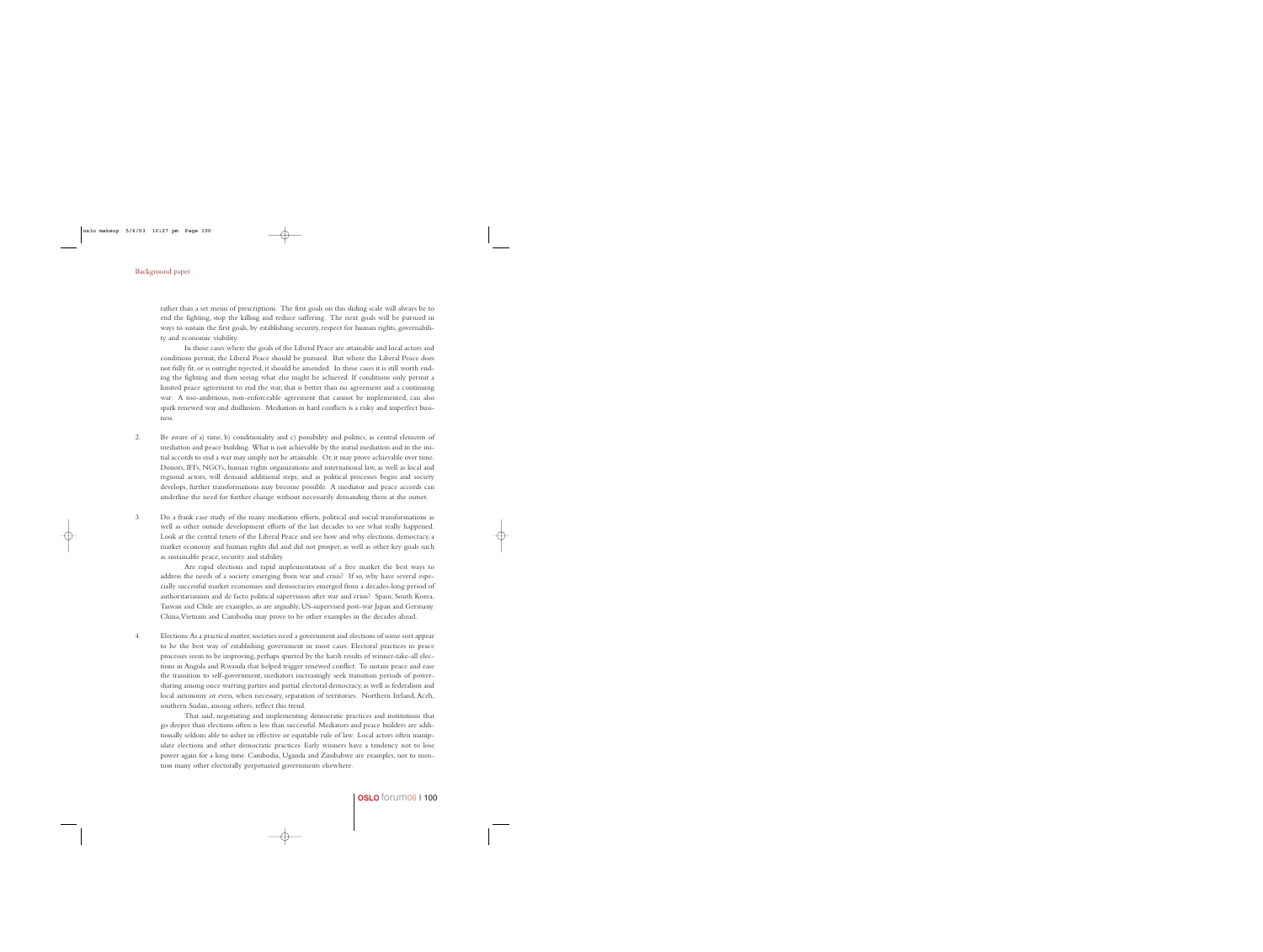rather than a set menu of prescriptions. The first goals on this sliding scale will always be to end the fighting, stop the killing and reduce suffering. The next goals will be pursued in ways to sustain the first goals, by establishing security, respect for human rights, governability and economic viability.

In those cases where the goals of the Liberal Peace are attainable and local actors and conditions permit, the Liberal Peace should be pursued. But where the Liberal Peace does not fully fit, or is outright rejected, it should be amended. In these cases it is still worth ending the fighting and then seeing what else might be achieved. If conditions only permit a limited peace agreement to end the war, that is better than no agreement and a continuing war. A too-ambitious, non-enforceable agreement that cannot be implemented, can also spark renewed war and disillusion. Mediation in hard conflicts is a risky and imperfect business.

2. Be aware of a) time, b) conditionality and c) possibility and politics, as central elements of mediation and peace building. What is not achievable by the initial mediation and in the initial accords to end a war may simply not be attainable. Or, it may prove achievable over time. Donors, IFI's, NGO's, human rights organizations and international law, as well as local and regional actors, will demand additional steps; and as political processes begin and society develops, further transformations may become possible. A mediator and peace accords can underline the need for further change without necessarily demanding them at the outset.

3. Do a frank case study of the many mediation efforts, political and social transformations as well as other outside development efforts of the last decades to see what really happened. Look at the central tenets of the Liberal Peace and see how and why elections, democracy, a market economy and human rights did and did not prosper, as well as other key goals such as sustainable peace, security and stability.

Are rapid elections and rapid implementation of a free market the best ways to address the needs of a society emerging from war and crisis? If so, why have several especially successful market economies and democracies emerged from a decades-long period of authoritarianism and de facto political supervision after war and crisis? Spain, South Korea, Taiwan and Chile are examples, as are arguably, US-supervised post-war Japan and Germany. China,Vietnam and Cambodia may prove to be other examples in the decades ahead.

4. Elections:As a practical matter,societies need a government and elections of some sort appear to be the best way of establishing government in most cases. Electoral practices in peace processes seem to be improving, perhaps spurred by the harsh results of winner-take-all elections in Angola and Rwanda that helped trigger renewed conflict. To sustain peace and ease the transition to self-government, mediators increasingly seek transition periods of powersharing among once warring parties and partial electoral democracy, as well as federalism and local autonomy or even, when necessary, separation of territories. Northern Ireland, Aceh, southern Sudan, among others, reflect this trend.

That said, negotiating and implementing democratic practices and institutions that go deeper than elections often is less than successful. Mediators and peace builders are additionally seldom able to usher in effective or equitable rule of law. Local actors often manipulate elections and other democratic practices. Early winners have a tendency not to lose power again for a long time. Cambodia, Uganda and Zimbabwe are examples, not to mention many other electorally perpetuated governments elsewhere.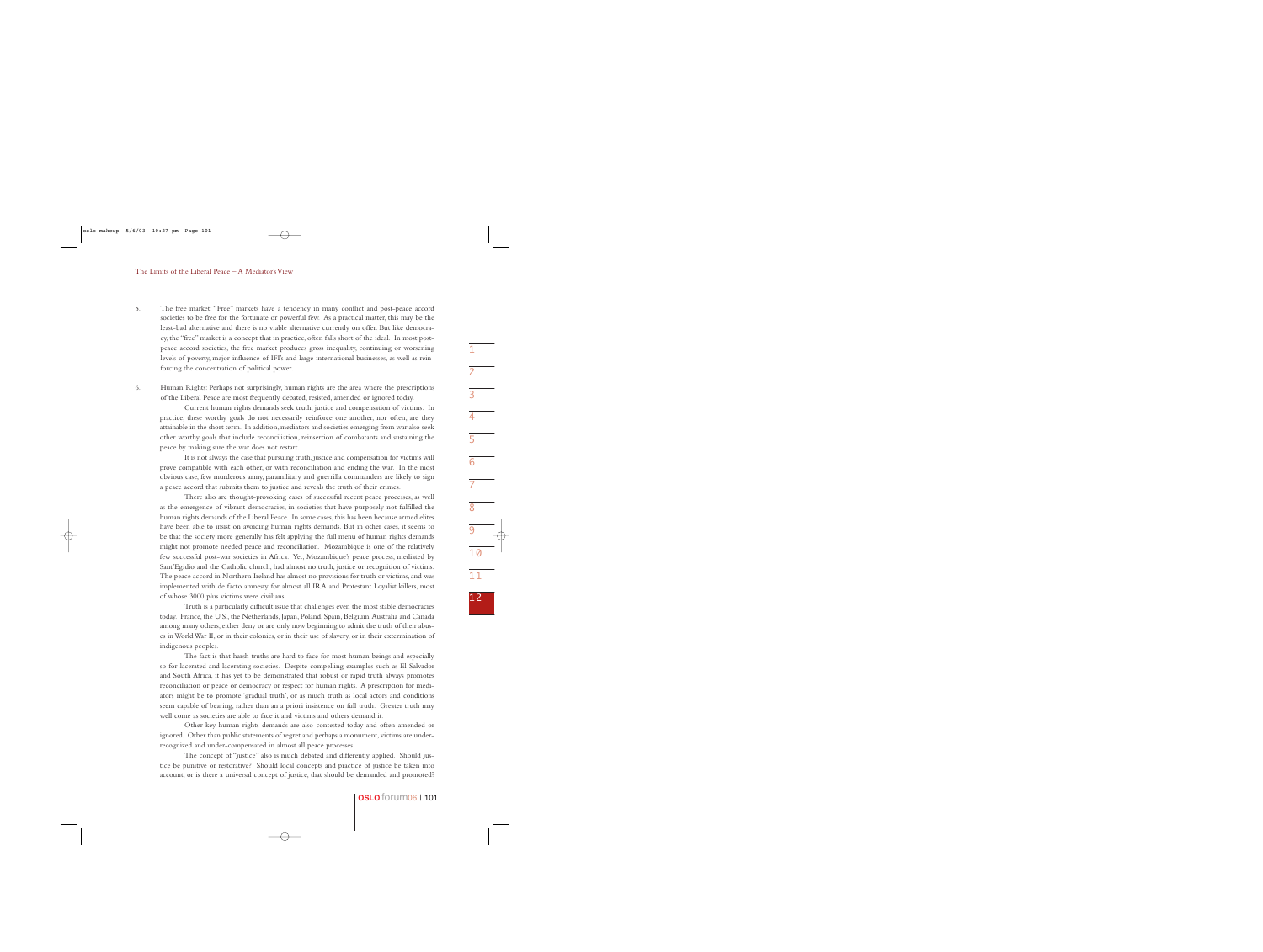5. The free market: "Free" markets have a tendency in many conflict and post-peace accord societies to be free for the fortunate or powerful few. As a practical matter, this may be the least-bad alternative and there is no viable alternative currently on offer. But like democracy, the "free" market is a concept that in practice, often falls short of the ideal. In most postpeace accord societies, the free market produces gross inequality, continuing or worsening levels of poverty, major influence of IFI's and large international businesses, as well as reinforcing the concentration of political power.

6. Human Rights: Perhaps not surprisingly, human rights are the area where the prescriptions of the Liberal Peace are most frequently debated, resisted, amended or ignored today.

Current human rights demands seek truth, justice and compensation of victims. In practice, these worthy goals do not necessarily reinforce one another, nor often, are they attainable in the short term. In addition, mediators and societies emerging from war also seek other worthy goals that include reconciliation, reinsertion of combatants and sustaining the peace by making sure the war does not restart.

It is not always the case that pursuing truth, justice and compensation for victims will prove compatible with each other, or with reconciliation and ending the war. In the most obvious case, few murderous army, paramilitary and guerrilla commanders are likely to sign a peace accord that submits them to justice and reveals the truth of their crimes.

There also are thought-provoking cases of successful recent peace processes, as well as the emergence of vibrant democracies, in societies that have purposely not fulfilled the human rights demands of the Liberal Peace. In some cases, this has been because armed elites have been able to insist on avoiding human rights demands. But in other cases, it seems to be that the society more generally has felt applying the full menu of human rights demands might not promote needed peace and reconciliation. Mozambique is one of the relatively few successful post-war societies in Africa. Yet, Mozambique's peace process, mediated by Sant'Egidio and the Catholic church, had almost no truth, justice or recognition of victims. The peace accord in Northern Ireland has almost no provisions for truth or victims, and was implemented with de facto amnesty for almost all IRA and Protestant Loyalist killers, most of whose 3000 plus victims were civilians.

Truth is a particularly difficult issue that challenges even the most stable democracies today. France, the U.S., the Netherlands, Japan, Poland, Spain, Belgium,Australia and Canada among many others, either deny or are only now beginning to admit the truth of their abuses in World War II, or in their colonies, or in their use of slavery, or in their extermination of indigenous peoples.

The fact is that harsh truths are hard to face for most human beings and especially so for lacerated and lacerating societies. Despite compelling examples such as El Salvador and South Africa, it has yet to be demonstrated that robust or rapid truth always promotes reconciliation or peace or democracy or respect for human rights. A prescription for mediators might be to promote 'gradual truth', or as much truth as local actors and conditions seem capable of bearing, rather than an a priori insistence on full truth. Greater truth may well come as societies are able to face it and victims and others demand it.

Other key human rights demands are also contested today and often amended or ignored. Other than public statements of regret and perhaps a monument, victims are underrecognized and under-compensated in almost all peace processes.

The concept of "justice" also is much debated and differently applied. Should justice be punitive or restorative? Should local concepts and practice of justice be taken into account, or is there a universal concept of justice, that should be demanded and promoted?